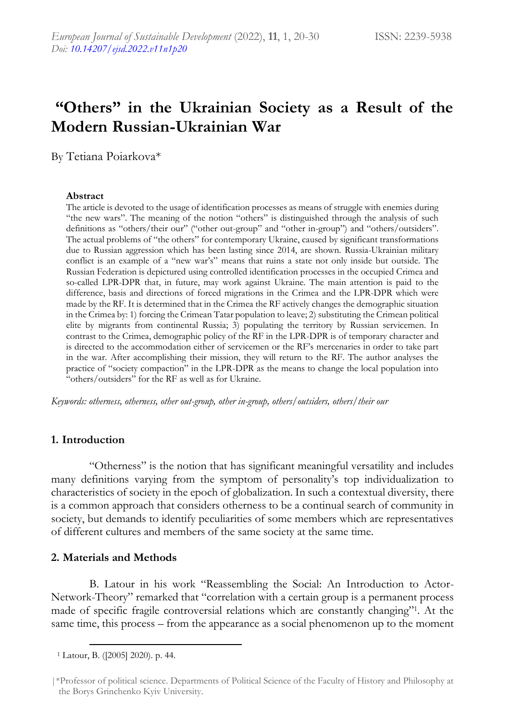# **"Others" in the Ukrainian Society as a Result of the Modern Russian-Ukrainian War**

By Tetiana Poiarkova\*

#### **Abstract**

The article is devoted to the usage of identification processes as means of struggle with enemies during "the new wars". The meaning of the notion "others" is distinguished through the analysis of such definitions as "others/their our" ("other out-group" and "other in-group") and "others/outsiders". The actual problems of "the others" for contemporary Ukraine, caused by significant transformations due to Russian aggression which has been lasting since 2014, are shown. Russia-Ukrainian military conflict is an example of a "new war's" means that ruins a state not only inside but outside. The Russian Federation is depictured using controlled identification processes in the occupied Crimea and so-called LPR-DPR that, in future, may work against Ukraine. The main attention is paid to the difference, basis and directions of forced migrations in the Crimea and the LPR-DPR which were made by the RF. It is determined that in the Crimea the RF actively changes the demographic situation in the Crimea by: 1) forcing the Crimean Tatar population to leave; 2) substituting the Crimean political elite by migrants from continental Russia; 3) populating the territory by Russian servicemen. In contrast to the Crimea, demographic policy of the RF in the LPR-DPR is of temporary character and is directed to the accommodation either of servicemen or the RF's mercenaries in order to take part in the war. After accomplishing their mission, they will return to the RF. The author analyses the practice of "society compaction" in the LPR-DPR as the means to change the local population into "others/outsiders" for the RF as well as for Ukraine.

*Keywords: otherness, otherness, other out-group, other in-group, others/outsiders, others/their our*

### **1. Introduction**

"Otherness" is the notion that has significant meaningful versatility and includes many definitions varying from the symptom of personality's top individualization to characteristics of society in the epoch of globalization. In such a contextual diversity, there is a common approach that considers otherness to be a continual search of community in society, but demands to identify peculiarities of some members which are representatives of different cultures and members of the same society at the same time.

# **2. Materials and Methods**

B. Latour in his work "Reassembling the Social: An Introduction to Actor-Network-Theory" remarked that "correlation with a certain group is a permanent process made of specific fragile controversial relations which are constantly changing"<sup>1</sup> . At the same time, this process – from the appearance as a social phenomenon up to the moment

<sup>1</sup> Latour, B. ([2005] 2020). p. 44.

<sup>|\*</sup>Professor of political science. Departments of Political Science of the Faculty of History and Philosophy at the Borys Grinchenko Kyiv University.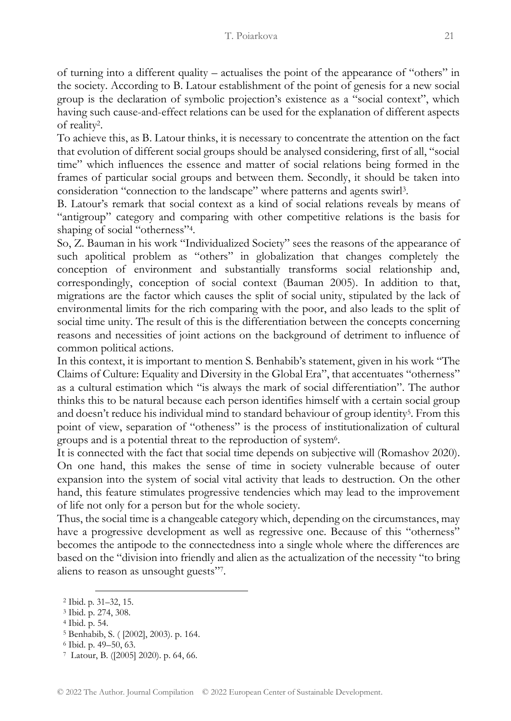of turning into a different quality – actualises the point of the appearance of "others" in the society. According to B. Latour establishment of the point of genesis for a new social group is the declaration of symbolic projection's existence as a "social context", which having such cause-and-effect relations can be used for the explanation of different aspects of reality<sup>2</sup> .

To achieve this, as B. Latour thinks, it is necessary to concentrate the attention on the fact that evolution of different social groups should be analysed considering, first of all, "social time" which influences the essence and matter of social relations being formed in the frames of particular social groups and between them. Secondly, it should be taken into consideration "connection to the landscape" where patterns and agents swirl<sup>3</sup> .

B. Latour's remark that social context as a kind of social relations reveals by means of "antigroup" category and comparing with other competitive relations is the basis for shaping of social "otherness"<sup>4</sup> .

So, Z. Bauman in his work "Individualized Society" sees the reasons of the appearance of such apolitical problem as "others" in globalization that changes completely the conception of environment and substantially transforms social relationship and, correspondingly, conception of social context (Bauman 2005). In addition to that, migrations are the factor which causes the split of social unity, stipulated by the lack of environmental limits for the rich comparing with the poor, and also leads to the split of social time unity. The result of this is the differentiation between the concepts concerning reasons and necessities of joint actions on the background of detriment to influence of common political actions.

In this context, it is important to mention S. Benhabib's statement, given in his work "The Claims of Culture: Equality and Diversity in the Global Era", that accentuates "otherness" as a cultural estimation which "is always the mark of social differentiation". The author thinks this to be natural because each person identifies himself with a certain social group and doesn't reduce his individual mind to standard behaviour of group identity<sup>5</sup>. From this point of view, separation of "otheness" is the process of institutionalization of cultural groups and is a potential threat to the reproduction of system<sup>6</sup>.

It is connected with the fact that social time depends on subjective will (Romashov 2020). On one hand, this makes the sense of time in society vulnerable because of outer expansion into the system of social vital activity that leads to destruction. On the other hand, this feature stimulates progressive tendencies which may lead to the improvement of life not only for a person but for the whole society.

Thus, the social time is a changeable category which, depending on the circumstances, may have a progressive development as well as regressive one. Because of this "otherness" becomes the antipode to the connectedness into a single whole where the differences are based on the "division into friendly and alien as the actualization of the necessity "to bring aliens to reason as unsought guests"<sup>7</sup> .

<sup>4</sup> Ibid. p. 54.

<sup>2</sup> Ibid. p. 31–32, 15.

<sup>3</sup> Ibid. p. 274, 308.

<sup>5</sup> Benhabib, S. ( [2002], 2003). p. 164.

<sup>6</sup> Ibid. p. 49–50, 63.

<sup>7</sup> Latour, B. ([2005] 2020). p. 64, 66.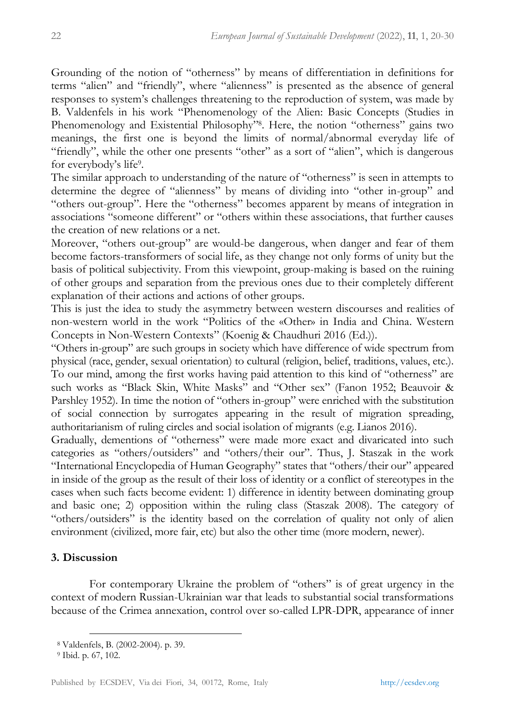Grounding of the notion of "otherness" by means of differentiation in definitions for terms "alien" and "friendly", where "alienness" is presented as the absence of general responses to system's challenges threatening to the reproduction of system, was made by B. Valdenfels in his work "Phenomenology of the Alien: Basic Concepts (Studies in Phenomenology and Existential Philosophy" 8 . Here, the notion "otherness" gains two meanings, the first one is beyond the limits of normal/abnormal everyday life of "friendly", while the other one presents "other" as a sort of "alien", which is dangerous for everybody's life<sup>9</sup>.

The similar approach to understanding of the nature of "otherness" is seen in attempts to determine the degree of "alienness" by means of dividing into "other in-group" and "others out-group". Here the "otherness" becomes apparent by means of integration in associations "someone different" or "others within these associations, that further causes the creation of new relations or a net.

Moreover, "others out-group" are would-be dangerous, when danger and fear of them become factors-transformers of social life, as they change not only forms of unity but the basis of political subjectivity. From this viewpoint, group-making is based on the ruining of other groups and separation from the previous ones due to their completely different explanation of their actions and actions of other groups.

This is just the idea to study the asymmetry between western discourses and realities of non-western world in the work "Politics of the «Other» in India and China. Western Concepts in Non-Western Contexts" (Koenig & Chaudhuri 2016 (Ed.)).

"Others in-group" are such groups in society which have difference of wide spectrum from physical (race, gender, sexual orientation) to cultural (religion, belief, traditions, values, etc.). To our mind, among the first works having paid attention to this kind of "otherness" are such works as "Black Skin, White Masks" and "Other sex" (Fanon 1952; Beauvoir & Parshley 1952). In time the notion of "others in-group" were enriched with the substitution of social connection by surrogates appearing in the result of migration spreading, authoritarianism of ruling circles and social isolation of migrants (e.g. Lianos 2016).

Gradually, dementions of "otherness" were made more exact and divaricated into such categories as "others/outsiders" and "others/their our". Thus, J. Staszak in the work "International Encyclopedia of Human Geography" states that "others/their our" appeared in inside of the group as the result of their loss of identity or a conflict of stereotypes in the cases when such facts become evident: 1) difference in identity between dominating group and basic one; 2) opposition within the ruling class (Staszak 2008). The category of "others/outsiders" is the identity based on the correlation of quality not only of alien environment (civilized, more fair, etc) but also the other time (more modern, newer).

# **3. Discussion**

For contemporary Ukraine the problem of "others" is of great urgency in the context of modern Russian-Ukrainian war that leads to substantial social transformations because of the Crimea annexation, control over so-called LPR-DPR, appearance of inner

<sup>8</sup> Valdenfels, B. (2002-2004). p. 39.

<sup>9</sup> Ibid. p. 67, 102.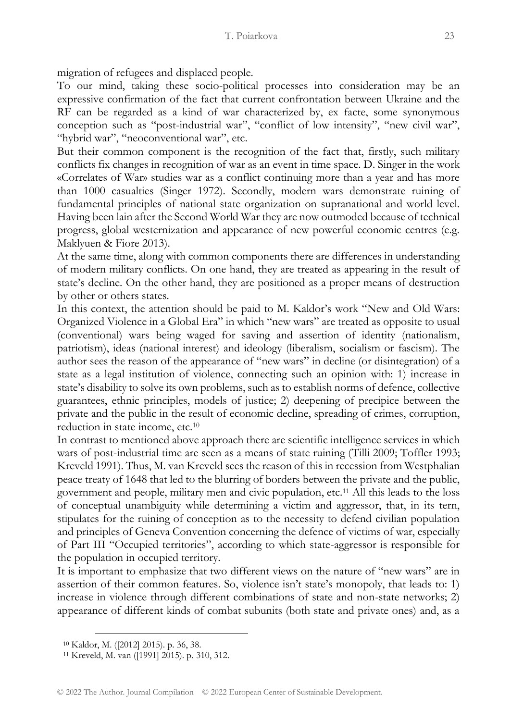migration of refugees and displaced people.

To our mind, taking these socio-political processes into consideration may be an expressive confirmation of the fact that current confrontation between Ukraine and the RF can be regarded as a kind of war characterized by, ex facte, some synonymous conception such as "post-industrial war", "conflict of low intensity", "new civil war", "hybrid war", "neoconventional war", etc.

But their common component is the recognition of the fact that, firstly, such military conflicts fix changes in recognition of war as an event in time space. D. Singer in the work «Correlates of War» studies war as a conflict continuing more than a year and has more than 1000 casualties (Singer 1972). Secondly, modern wars demonstrate ruining of fundamental principles of national state organization on supranational and world level. Having been lain after the Second World War they are now outmoded because of technical progress, global westernization and appearance of new powerful economic centres (e.g. Maklyuen & Fiore 2013).

At the same time, along with common components there are differences in understanding of modern military conflicts. On one hand, they are treated as appearing in the result of state's decline. On the other hand, they are positioned as a proper means of destruction by other or others states.

In this context, the attention should be paid to M. Kaldor's work "New and Old Wars: Organized Violence in a Global Era" in which "new wars" are treated as opposite to usual (conventional) wars being waged for saving and assertion of identity (nationalism, patriotism), ideas (national interest) and ideology (liberalism, socialism or fascism). The author sees the reason of the appearance of "new wars" in decline (or disintegration) of a state as a legal institution of violence, connecting such an opinion with: 1) increase in state's disability to solve its own problems, such as to establish norms of defence, collective guarantees, ethnic principles, models of justice; 2) deepening of precipice between the private and the public in the result of economic decline, spreading of crimes, corruption, reduction in state income, etc.<sup>10</sup>

In contrast to mentioned above approach there are scientific intelligence services in which wars of post-industrial time are seen as a means of state ruining (Tilli 2009; Toffler 1993; Kreveld 1991). Thus, M. van Kreveld sees the reason of this in recession from Westphalian peace treaty of 1648 that led to the blurring of borders between the private and the public, government and people, military men and civic population, etc.<sup>11</sup> All this leads to the loss of conceptual unambiguity while determining a victim and aggressor, that, in its tern, stipulates for the ruining of conception as to the necessity to defend civilian population and principles of Geneva Convention concerning the defence of victims of war, especially of Part III "Occupied territories", according to which state-aggressor is responsible for the population in occupied territory.

It is important to emphasize that two different views on the nature of "new wars" are in assertion of their common features. So, violence isn't state's monopoly, that leads to: 1) increase in violence through different combinations of state and non-state networks; 2) appearance of different kinds of combat subunits (both state and private ones) and, as a

<sup>10</sup> Kaldor, M. ([2012] 2015). p. 36, 38.

<sup>11</sup> Kreveld, M. van ([1991] 2015). p. 310, 312.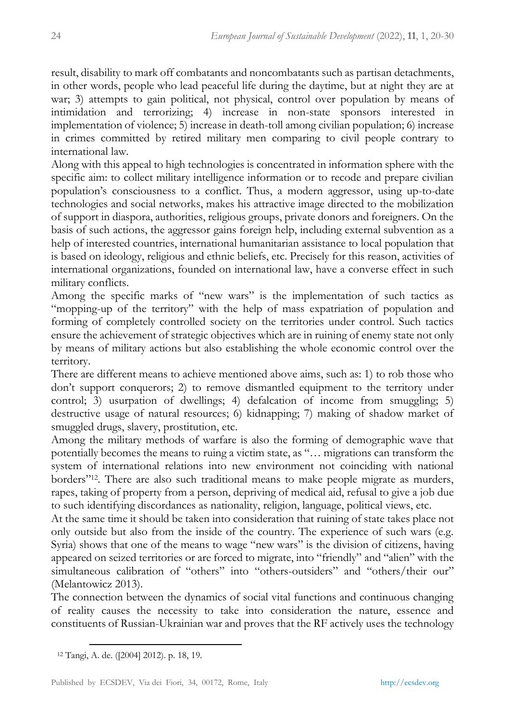result, disability to mark off combatants and noncombatants such as partisan detachments, in other words, people who lead peaceful life during the daytime, but at night they are at war; 3) attempts to gain political, not physical, control over population by means of intimidation and terrorizing; 4) increase in non-state sponsors interested in implementation of violence; 5) increase in death-toll among civilian population; 6) increase in crimes committed by retired military men comparing to civil people contrary to international law.

Along with this appeal to high technologies is concentrated in information sphere with the specific aim: to collect military intelligence information or to recode and prepare civilian population's consciousness to a conflict. Thus, a modern aggressor, using up-to-date technologies and social networks, makes his attractive image directed to the mobilization of support in diaspora, authorities, religious groups, private donors and foreigners. On the basis of such actions, the aggressor gains foreign help, including external subvention as a help of interested countries, international humanitarian assistance to local population that is based on ideology, religious and ethnic beliefs, etc. Precisely for this reason, activities of international organizations, founded on international law, have a converse effect in such military conflicts.

Among the specific marks of "new wars" is the implementation of such tactics as "mopping-up of the territory" with the help of mass expatriation of population and forming of completely controlled society on the territories under control. Such tactics ensure the achievement of strategic objectives which are in ruining of enemy state not only by means of military actions but also establishing the whole economic control over the territory.

There are different means to achieve mentioned above aims, such as: 1) to rob those who don't support conquerors; 2) to remove dismantled equipment to the territory under control; 3) usurpation of dwellings; 4) defalcation of income from smuggling; 5) destructive usage of natural resources; 6) kidnapping; 7) making of shadow market of smuggled drugs, slavery, prostitution, etc.

Among the military methods of warfare is also the forming of demographic wave that potentially becomes the means to ruing a victim state, as "… migrations can transform the system of international relations into new environment not coinciding with national borders"12. There are also such traditional means to make people migrate as murders, rapes, taking of property from a person, depriving of medical aid, refusal to give a job due to such identifying discordances as nationality, religion, language, political views, etc.

At the same time it should be taken into consideration that ruining of state takes place not only outside but also from the inside of the country. The experience of such wars (e.g. Syria) shows that one of the means to wage "new wars" is the division of citizens, having appeared on seized territories or are forced to migrate, into "friendly" and "alien" with the simultaneous calibration of "others" into "others-outsiders" and "others/their our" (Melantowicz 2013).

The connection between the dynamics of social vital functions and continuous changing of reality causes the necessity to take into consideration the nature, essence and constituents of Russian-Ukrainian war and proves that the RF actively uses the technology

<sup>12</sup> Tangi, A. de. ([2004] 2012). p. 18, 19.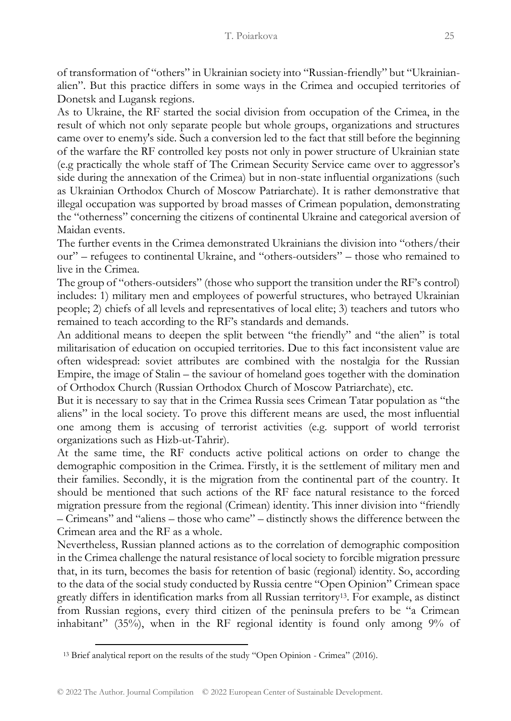of transformation of "others" in Ukrainian society into "Russian-friendly" but "Ukrainianalien". But this practice differs in some ways in the Crimea and occupied territories of Donetsk and Lugansk regions.

As to Ukraine, the RF started the social division from occupation of the Crimea, in the result of which not only separate people but whole groups, organizations and structures came over to enemy's side. Such a conversion led to the fact that still before the beginning of the warfare the RF controlled key posts not only in power structure of Ukrainian state (e.g practically the whole staff of The Crimean Security Service came over to aggressor's side during the annexation of the Crimea) but in non-state influential organizations (such as Ukrainian Orthodox Church of Moscow Patriarchate). It is rather demonstrative that illegal occupation was supported by broad masses of Crimean population, demonstrating the "otherness" concerning the citizens of continental Ukraine and categorical aversion of Maidan events.

The further events in the Crimea demonstrated Ukrainians the division into "others/their our" – refugees to continental Ukraine, and "others-outsiders" – those who remained to live in the Crimea.

The group of "others-outsiders" (those who support the transition under the RF's control) includes: 1) military men and employees of powerful structures, who betrayed Ukrainian people; 2) chiefs of all levels and representatives of local elite; 3) teachers and tutors who remained to teach according to the RF's standards and demands.

An additional means to deepen the split between "the friendly" and "the alien" is total militarisation of education on occupied territories. Due to this fact inconsistent value are often widespread: soviet attributes are combined with the nostalgia for the Russian Empire, the image of Stalin – the saviour of homeland goes together with the domination of Orthodox Church (Russian Orthodox Church of Moscow Patriarchate), etc.

But it is necessary to say that in the Crimea Russia sees Crimean Tatar population as "the aliens" in the local society. To prove this different means are used, the most influential one among them is accusing of terrorist activities (e.g. support of world terrorist organizations such as Hizb-ut-Tahrir).

At the same time, the RF conducts active political actions on order to change the demographic composition in the Crimea. Firstly, it is the settlement of military men and their families. Secondly, it is the migration from the continental part of the country. It should be mentioned that such actions of the RF face natural resistance to the forced migration pressure from the regional (Crimean) identity. This inner division into "friendly – Crimeans" and "aliens – those who came" – distinctly shows the difference between the Crimean area and the RF as a whole.

Nevertheless, Russian planned actions as to the correlation of demographic composition in the Crimea challenge the natural resistance of local society to forcible migration pressure that, in its turn, becomes the basis for retention of basic (regional) identity. So, according to the data of the social study conducted by Russia centre "Open Opinion" Crimean space greatly differs in identification marks from all Russian territory13. For example, as distinct from Russian regions, every third citizen of the peninsula prefers to be "a Crimean inhabitant" (35%), when in the RF regional identity is found only among 9% of

<sup>13</sup> Brief analytical report on the results of the study "Open Opinion - Crimea" (2016).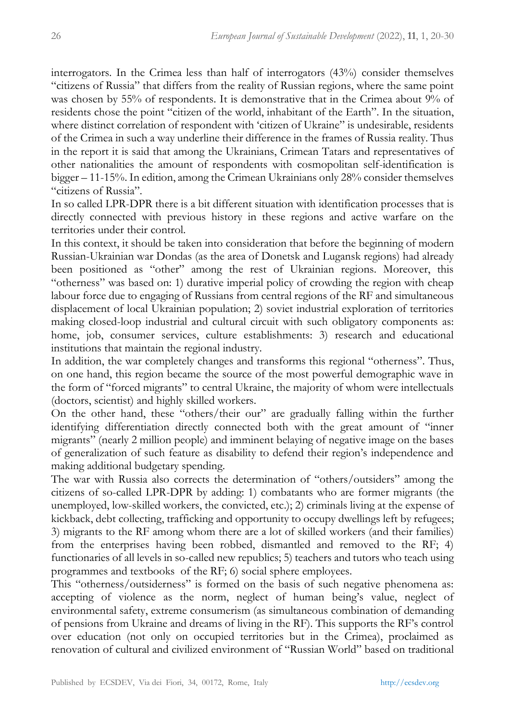interrogators. In the Crimea less than half of interrogators (43%) consider themselves "citizens of Russia" that differs from the reality of Russian regions, where the same point was chosen by 55% of respondents. It is demonstrative that in the Crimea about 9% of residents chose the point "citizen of the world, inhabitant of the Earth". In the situation, where distinct correlation of respondent with 'citizen of Ukraine" is undesirable, residents of the Crimea in such a way underline their difference in the frames of Russia reality. Thus in the report it is said that among the Ukrainians, Crimean Tatars and representatives of other nationalities the amount of respondents with cosmopolitan self-identification is bigger – 11-15%. In edition, among the Crimean Ukrainians only 28% consider themselves "citizens of Russia".

In so called LPR-DPR there is a bit different situation with identification processes that is directly connected with previous history in these regions and active warfare on the territories under their control.

In this context, it should be taken into consideration that before the beginning of modern Russian-Ukrainian war Dondas (as the area of Donetsk and Lugansk regions) had already been positioned as "other" among the rest of Ukrainian regions. Moreover, this "otherness" was based on: 1) durative imperial policy of crowding the region with cheap labour force due to engaging of Russians from central regions of the RF and simultaneous displacement of local Ukrainian population; 2) soviet industrial exploration of territories making closed-loop industrial and cultural circuit with such obligatory components as: home, job, consumer services, culture establishments: 3) research and educational institutions that maintain the regional industry.

In addition, the war completely changes and transforms this regional "otherness". Thus, on one hand, this region became the source of the most powerful demographic wave in the form of "forced migrants" to central Ukraine, the majority of whom were intellectuals (doctors, scientist) and highly skilled workers.

On the other hand, these "others/their our" are gradually falling within the further identifying differentiation directly connected both with the great amount of "inner migrants" (nearly 2 million people) and imminent belaying of negative image on the bases of generalization of such feature as disability to defend their region's independence and making additional budgetary spending.

The war with Russia also corrects the determination of "others/outsiders" among the citizens of so-called LPR-DPR by adding: 1) combatants who are former migrants (the unemployed, low-skilled workers, the convicted, etc.); 2) criminals living at the expense of kickback, debt collecting, trafficking and opportunity to occupy dwellings left by refugees; 3) migrants to the RF among whom there are a lot of skilled workers (and their families) from the enterprises having been robbed, dismantled and removed to the RF; 4) functionaries of all levels in so-called new republics; 5) teachers and tutors who teach using programmes and textbooks of the RF; 6) social sphere employees.

This "otherness/outsiderness" is formed on the basis of such negative phenomena as: accepting of violence as the norm, neglect of human being's value, neglect of environmental safety, extreme consumerism (as simultaneous combination of demanding of pensions from Ukraine and dreams of living in the RF). This supports the RF's control over education (not only on occupied territories but in the Crimea), proclaimed as renovation of cultural and civilized environment of "Russian World" based on traditional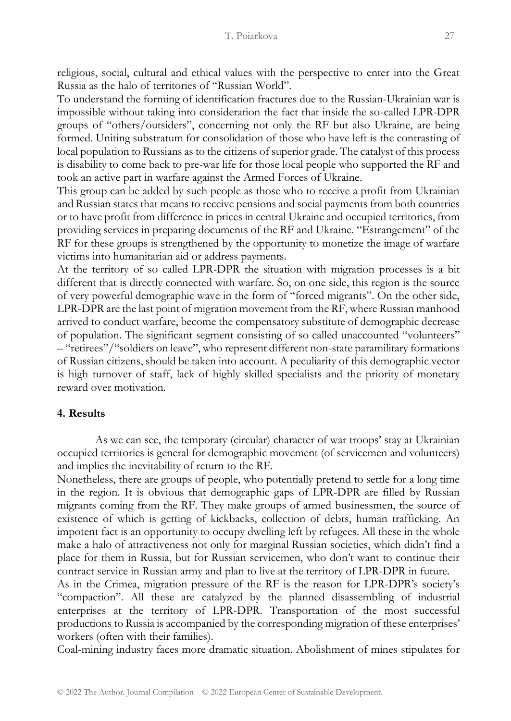religious, social, cultural and ethical values with the perspective to enter into the Great Russia as the halo of territories of "Russian World".

To understand the forming of identification fractures due to the Russian-Ukrainian war is impossible without taking into consideration the fact that inside the so-called LPR-DPR groups of "others/outsiders", concerning not only the RF but also Ukraine, are being formed. Uniting substratum for consolidation of those who have left is the contrasting of local population to Russians as to the citizens of superior grade. The catalyst of this process is disability to come back to pre-war life for those local people who supported the RF and took an active part in warfare against the Armed Forces of Ukraine.

This group can be added by such people as those who to receive a profit from Ukrainian and Russian states that means to receive pensions and social payments from both countries or to have profit from difference in prices in central Ukraine and occupied territories, from providing services in preparing documents of the RF and Ukraine. "Estrangement" of the RF for these groups is strengthened by the opportunity to monetize the image of warfare victims into humanitarian aid or address payments.

At the territory of so called LPR-DPR the situation with migration processes is a bit different that is directly connected with warfare. So, on one side, this region is the source of very powerful demographic wave in the form of "forced migrants". On the other side, LPR-DPR are the last point of migration movement from the RF, where Russian manhood arrived to conduct warfare, become the compensatory substitute of demographic decrease of population. The significant segment consisting of so called unaccounted "volunteers" – "retirees"/"soldiers on leave", who represent different non-state paramilitary formations of Russian citizens, should be taken into account. A peculiarity of this demographic vector is high turnover of staff, lack of highly skilled specialists and the priority of monetary reward over motivation.

# **4. Results**

As we can see, the temporary (circular) character of war troops' stay at Ukrainian occupied territories is general for demographic movement (of servicemen and volunteers) and implies the inevitability of return to the RF.

Nonetheless, there are groups of people, who potentially pretend to settle for a long time in the region. It is obvious that demographic gaps of LPR-DPR are filled by Russian migrants coming from the RF. They make groups of armed businessmen, the source of existence of which is getting of kickbacks, collection of debts, human trafficking. An impotent fact is an opportunity to occupy dwelling left by refugees. All these in the whole make a halo of attractiveness not only for marginal Russian societies, which didn't find a place for them in Russia, but for Russian servicemen, who don't want to continue their contract service in Russian army and plan to live at the territory of LPR-DPR in future.

As in the Crimea, migration pressure of the RF is the reason for LPR-DPR's society's "compaction". All these are catalyzed by the planned disassembling of industrial enterprises at the territory of LPR-DPR. Transportation of the most successful productions to Russia is accompanied by the corresponding migration of these enterprises' workers (often with their families).

Coal-mining industry faces more dramatic situation. Abolishment of mines stipulates for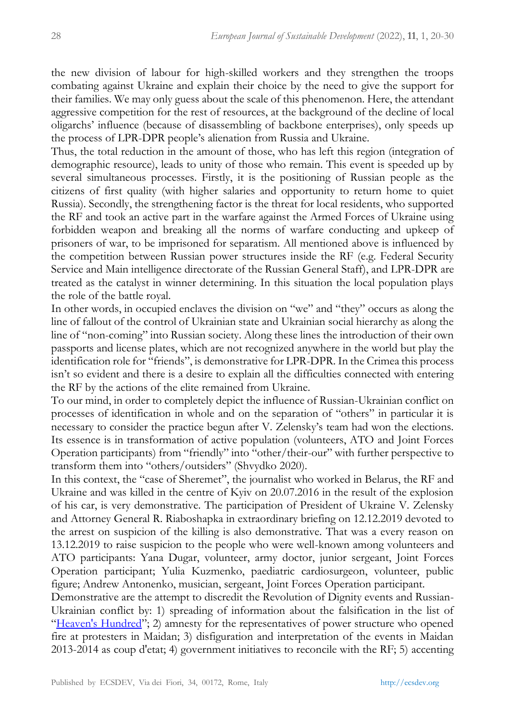the new division of labour for high-skilled workers and they strengthen the troops combating against Ukraine and explain their choice by the need to give the support for their families. We may only guess about the scale of this phenomenon. Here, the attendant aggressive competition for the rest of resources, at the background of the decline of local oligarchs' influence (because of disassembling of backbone enterprises), only speeds up the process of LPR-DPR people's alienation from Russia and Ukraine.

Thus, the total reduction in the amount of those, who has left this region (integration of demographic resource), leads to unity of those who remain. This event is speeded up by several simultaneous processes. Firstly, it is the positioning of Russian people as the citizens of first quality (with higher salaries and opportunity to return home to quiet Russia). Secondly, the strengthening factor is the threat for local residents, who supported the RF and took an active part in the warfare against the Armed Forces of Ukraine using forbidden weapon and breaking all the norms of warfare conducting and upkeep of prisoners of war, to be imprisoned for separatism. All mentioned above is influenced by the competition between Russian power structures inside the RF (e.g. Federal Security Service and Main intelligence directorate of the Russian General Staff), and LPR-DPR are treated as the catalyst in winner determining. In this situation the local population plays the role of the battle royal.

In other words, in occupied enclaves the division on "we" and "they" occurs as along the line of fallout of the control of Ukrainian state and Ukrainian social hierarchy as along the line of "non-coming" into Russian society. Along these lines the introduction of their own passports and license plates, which are not recognized anywhere in the world but play the identification role for "friends", is demonstrative for LPR-DPR. In the Crimea this process isn't so evident and there is a desire to explain all the difficulties connected with entering the RF by the actions of the elite remained from Ukraine.

To our mind, in order to completely depict the influence of Russian-Ukrainian conflict on processes of identification in whole and on the separation of "others" in particular it is necessary to consider the practice begun after V. Zelensky's team had won the elections. Its essence is in transformation of active population (volunteers, ATO and Joint Forces Operation participants) from "friendly" into "other/their-our" with further perspective to transform them into "others/outsiders" (Shvydko 2020).

In this context, the "case of Sheremet", the journalist who worked in Belarus, the RF and Ukraine and was killed in the centre of Kyiv on 20.07.2016 in the result of the explosion of his car, is very demonstrative. The participation of President of Ukraine V. Zelensky and Attorney General R. Riaboshapka in extraordinary briefing on 12.12.2019 devoted to the arrest on suspicion of the killing is also demonstrative. That was a every reason on 13.12.2019 to raise suspicion to the people who were well-known among volunteers and ATO participants: Yana Dugar, volunteer, army doctor, junior sergeant, Joint Forces Operation participant; Yulia Kuzmenko, paediatric cardiosurgeon, volunteer, public figure; Andrew Antonenko, musician, sergeant, Joint Forces Operation participant.

Demonstrative are the attempt to discredit the Revolution of Dignity events and Russian-Ukrainian conflict by: 1) spreading of information about the falsification in the list of "[Heaven's Hundred](https://context.reverso.net/перевод/английский-русский/Heaven%27s+Hundred)"; 2) amnesty for the representatives of power structure who opened fire at protesters in Maidan; 3) disfiguration and interpretation of the events in Maidan 2013-2014 as coup d'etat; 4) government initiatives to reconcile with the RF; 5) accenting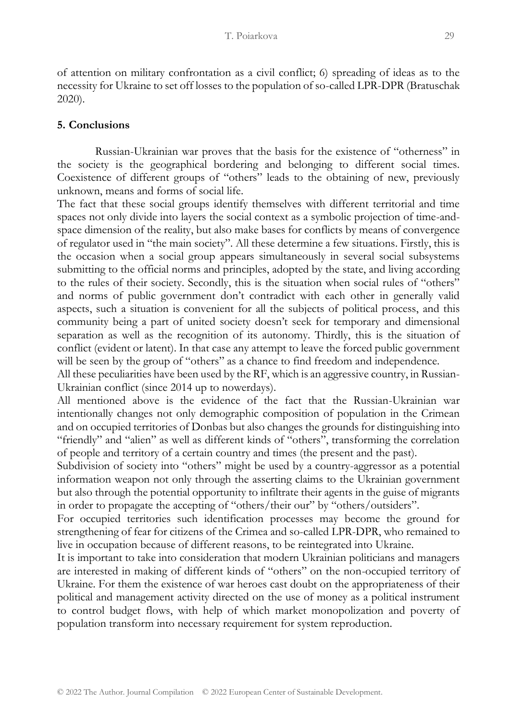of attention on military confrontation as a civil conflict; 6) spreading of ideas as to the necessity for Ukraine to set off losses to the population of so-called LPR-DPR (Bratuschak 2020).

# **5. Conclusions**

Russian-Ukrainian war proves that the basis for the existence of "otherness" in the society is the geographical bordering and belonging to different social times. Coexistence of different groups of "others" leads to the obtaining of new, previously unknown, means and forms of social life.

The fact that these social groups identify themselves with different territorial and time spaces not only divide into layers the social context as a symbolic projection of time-andspace dimension of the reality, but also make bases for conflicts by means of convergence of regulator used in "the main society". All these determine a few situations. Firstly, this is the occasion when a social group appears simultaneously in several social subsystems submitting to the official norms and principles, adopted by the state, and living according to the rules of their society. Secondly, this is the situation when social rules of "others" and norms of public government don't contradict with each other in generally valid aspects, such a situation is convenient for all the subjects of political process, and this community being a part of united society doesn't seek for temporary and dimensional separation as well as the recognition of its autonomy. Thirdly, this is the situation of conflict (evident or latent). In that case any attempt to leave the forced public government will be seen by the group of "others" as a chance to find freedom and independence.

All these peculiarities have been used by the RF, which is an aggressive country, in Russian-Ukrainian conflict (since 2014 up to nowerdays).

All mentioned above is the evidence of the fact that the Russian-Ukrainian war intentionally changes not only demographic composition of population in the Crimean and on occupied territories of Donbas but also changes the grounds for distinguishing into "friendly" and "alien" as well as different kinds of "others", transforming the correlation of people and territory of a certain country and times (the present and the past).

Subdivision of society into "others" might be used by a country-aggressor as a potential information weapon not only through the asserting claims to the Ukrainian government but also through the potential opportunity to infiltrate their agents in the guise of migrants in order to propagate the accepting of "others/their our" by "others/outsiders".

For occupied territories such identification processes may become the ground for strengthening of fear for citizens of the Crimea and so-called LPR-DPR, who remained to live in occupation because of different reasons, to be reintegrated into Ukraine.

It is important to take into consideration that modern Ukrainian politicians and managers are interested in making of different kinds of "others" on the non-occupied territory of Ukraine. For them the existence of war heroes cast doubt on the appropriateness of their political and management activity directed on the use of money as a political instrument to control budget flows, with help of which market monopolization and poverty of population transform into necessary requirement for system reproduction.